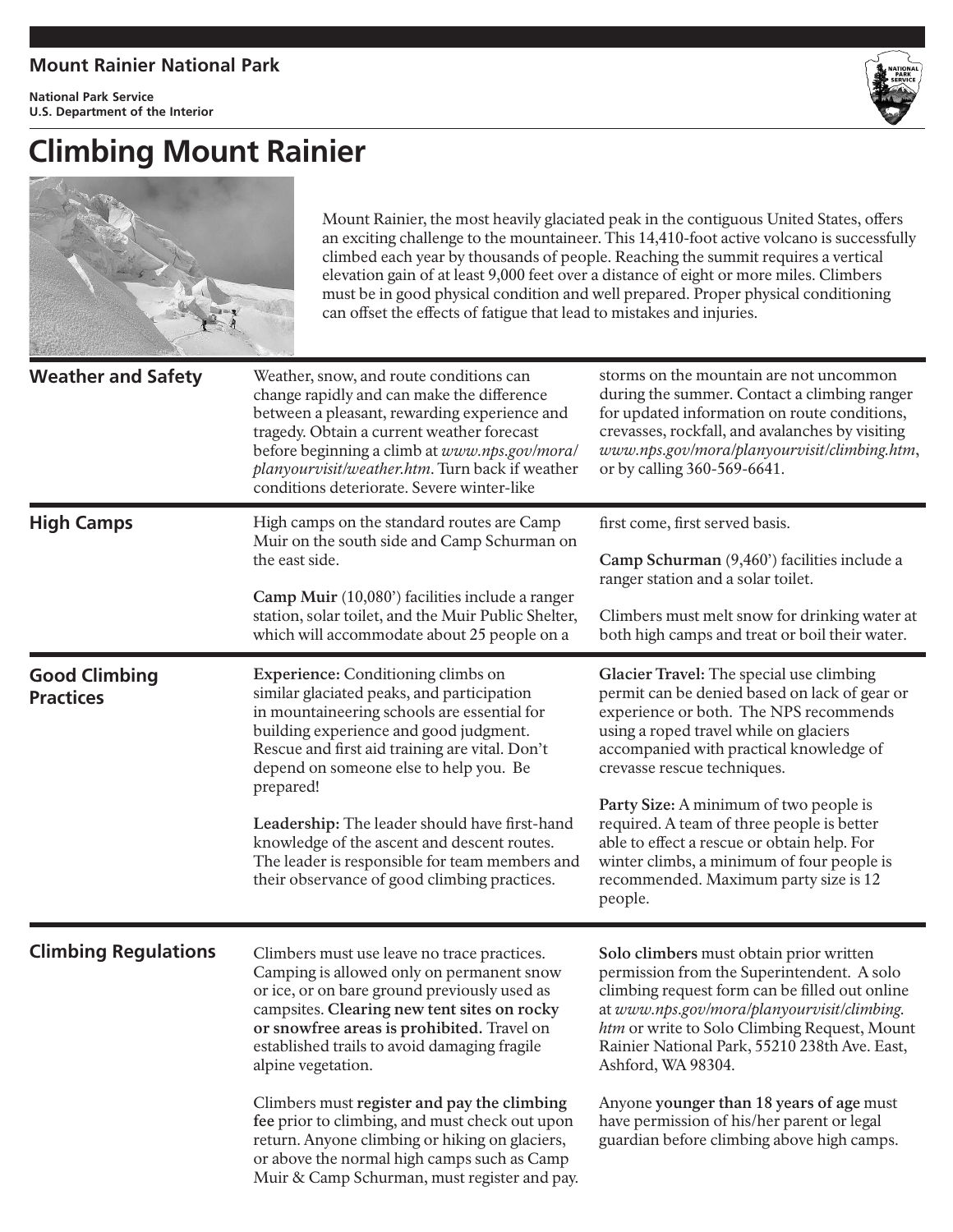## **Mount Rainier National Park**

**National Park Service U.S. Department of the Interior**



## **Climbing Mount Rainier**



Mount Rainier, the most heavily glaciated peak in the contiguous United States, offers an exciting challenge to the mountaineer. This 14,410-foot active volcano is successfully climbed each year by thousands of people. Reaching the summit requires a vertical elevation gain of at least 9,000 feet over a distance of eight or more miles. Climbers must be in good physical condition and well prepared. Proper physical conditioning can offset the effects of fatigue that lead to mistakes and injuries.

| <b>Weather and Safety</b>                | Weather, snow, and route conditions can<br>change rapidly and can make the difference<br>between a pleasant, rewarding experience and<br>tragedy. Obtain a current weather forecast<br>before beginning a climb at www.nps.gov/mora/<br>planyourvisit/weather.htm. Turn back if weather<br>conditions deteriorate. Severe winter-like                                                                                                                                                                                                                         | storms on the mountain are not uncommon<br>during the summer. Contact a climbing ranger<br>for updated information on route conditions,<br>crevasses, rockfall, and avalanches by visiting<br>www.nps.gov/mora/planyourvisit/climbing.htm,<br>or by calling 360-569-6641.                                                                                                                                                                                                                        |
|------------------------------------------|---------------------------------------------------------------------------------------------------------------------------------------------------------------------------------------------------------------------------------------------------------------------------------------------------------------------------------------------------------------------------------------------------------------------------------------------------------------------------------------------------------------------------------------------------------------|--------------------------------------------------------------------------------------------------------------------------------------------------------------------------------------------------------------------------------------------------------------------------------------------------------------------------------------------------------------------------------------------------------------------------------------------------------------------------------------------------|
| <b>High Camps</b>                        | High camps on the standard routes are Camp<br>Muir on the south side and Camp Schurman on<br>the east side.<br>Camp Muir (10,080') facilities include a ranger<br>station, solar toilet, and the Muir Public Shelter,<br>which will accommodate about 25 people on a                                                                                                                                                                                                                                                                                          | first come, first served basis.<br>Camp Schurman (9,460') facilities include a<br>ranger station and a solar toilet.<br>Climbers must melt snow for drinking water at<br>both high camps and treat or boil their water.                                                                                                                                                                                                                                                                          |
| <b>Good Climbing</b><br><b>Practices</b> | Experience: Conditioning climbs on<br>similar glaciated peaks, and participation<br>in mountaineering schools are essential for<br>building experience and good judgment.<br>Rescue and first aid training are vital. Don't<br>depend on someone else to help you. Be<br>prepared!<br>Leadership: The leader should have first-hand<br>knowledge of the ascent and descent routes.<br>The leader is responsible for team members and<br>their observance of good climbing practices.                                                                          | Glacier Travel: The special use climbing<br>permit can be denied based on lack of gear or<br>experience or both. The NPS recommends<br>using a roped travel while on glaciers<br>accompanied with practical knowledge of<br>crevasse rescue techniques.<br>Party Size: A minimum of two people is<br>required. A team of three people is better<br>able to effect a rescue or obtain help. For<br>winter climbs, a minimum of four people is<br>recommended. Maximum party size is 12<br>people. |
| <b>Climbing Regulations</b>              | Climbers must use leave no trace practices.<br>Camping is allowed only on permanent snow<br>or ice, or on bare ground previously used as<br>campsites. Clearing new tent sites on rocky<br>or snowfree areas is prohibited. Travel on<br>established trails to avoid damaging fragile<br>alpine vegetation.<br>Climbers must register and pay the climbing<br>fee prior to climbing, and must check out upon<br>return. Anyone climbing or hiking on glaciers,<br>or above the normal high camps such as Camp<br>Muir & Camp Schurman, must register and pay. | Solo climbers must obtain prior written<br>permission from the Superintendent. A solo<br>climbing request form can be filled out online<br>at www.nps.gov/mora/planyourvisit/climbing.<br>htm or write to Solo Climbing Request, Mount<br>Rainier National Park, 55210 238th Ave. East,<br>Ashford, WA 98304.<br>Anyone younger than 18 years of age must<br>have permission of his/her parent or legal<br>guardian before climbing above high camps.                                            |
|                                          |                                                                                                                                                                                                                                                                                                                                                                                                                                                                                                                                                               |                                                                                                                                                                                                                                                                                                                                                                                                                                                                                                  |